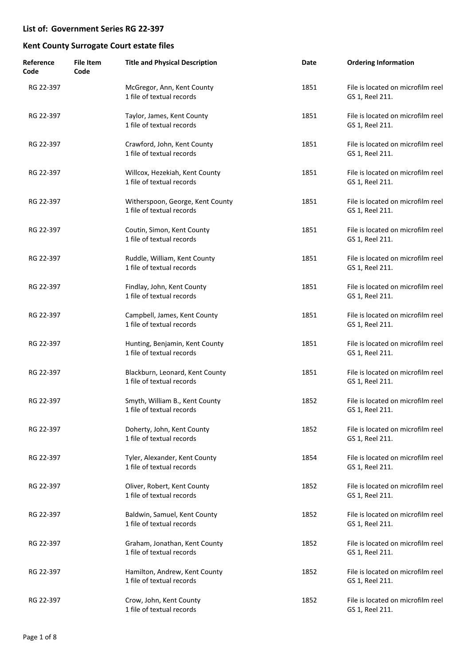| Reference<br>Code | <b>File Item</b><br>Code | <b>Title and Physical Description</b>                         | Date | <b>Ordering Information</b>                          |
|-------------------|--------------------------|---------------------------------------------------------------|------|------------------------------------------------------|
| RG 22-397         |                          | McGregor, Ann, Kent County<br>1 file of textual records       | 1851 | File is located on microfilm reel<br>GS 1, Reel 211. |
| RG 22-397         |                          | Taylor, James, Kent County<br>1 file of textual records       | 1851 | File is located on microfilm reel<br>GS 1, Reel 211. |
| RG 22-397         |                          | Crawford, John, Kent County<br>1 file of textual records      | 1851 | File is located on microfilm reel<br>GS 1, Reel 211. |
| RG 22-397         |                          | Willcox, Hezekiah, Kent County<br>1 file of textual records   | 1851 | File is located on microfilm reel<br>GS 1, Reel 211. |
| RG 22-397         |                          | Witherspoon, George, Kent County<br>1 file of textual records | 1851 | File is located on microfilm reel<br>GS 1, Reel 211. |
| RG 22-397         |                          | Coutin, Simon, Kent County<br>1 file of textual records       | 1851 | File is located on microfilm reel<br>GS 1, Reel 211. |
| RG 22-397         |                          | Ruddle, William, Kent County<br>1 file of textual records     | 1851 | File is located on microfilm reel<br>GS 1, Reel 211. |
| RG 22-397         |                          | Findlay, John, Kent County<br>1 file of textual records       | 1851 | File is located on microfilm reel<br>GS 1, Reel 211. |
| RG 22-397         |                          | Campbell, James, Kent County<br>1 file of textual records     | 1851 | File is located on microfilm reel<br>GS 1, Reel 211. |
| RG 22-397         |                          | Hunting, Benjamin, Kent County<br>1 file of textual records   | 1851 | File is located on microfilm reel<br>GS 1, Reel 211. |
| RG 22-397         |                          | Blackburn, Leonard, Kent County<br>1 file of textual records  | 1851 | File is located on microfilm reel<br>GS 1, Reel 211. |
| RG 22-397         |                          | Smyth, William B., Kent County<br>1 file of textual records   | 1852 | File is located on microfilm reel<br>GS 1, Reel 211. |
| RG 22-397         |                          | Doherty, John, Kent County<br>1 file of textual records       | 1852 | File is located on microfilm reel<br>GS 1, Reel 211. |
| RG 22-397         |                          | Tyler, Alexander, Kent County<br>1 file of textual records    | 1854 | File is located on microfilm reel<br>GS 1, Reel 211. |
| RG 22-397         |                          | Oliver, Robert, Kent County<br>1 file of textual records      | 1852 | File is located on microfilm reel<br>GS 1, Reel 211. |
| RG 22-397         |                          | Baldwin, Samuel, Kent County<br>1 file of textual records     | 1852 | File is located on microfilm reel<br>GS 1, Reel 211. |
| RG 22-397         |                          | Graham, Jonathan, Kent County<br>1 file of textual records    | 1852 | File is located on microfilm reel<br>GS 1, Reel 211. |
| RG 22-397         |                          | Hamilton, Andrew, Kent County<br>1 file of textual records    | 1852 | File is located on microfilm reel<br>GS 1, Reel 211. |
| RG 22-397         |                          | Crow, John, Kent County<br>1 file of textual records          | 1852 | File is located on microfilm reel<br>GS 1, Reel 211. |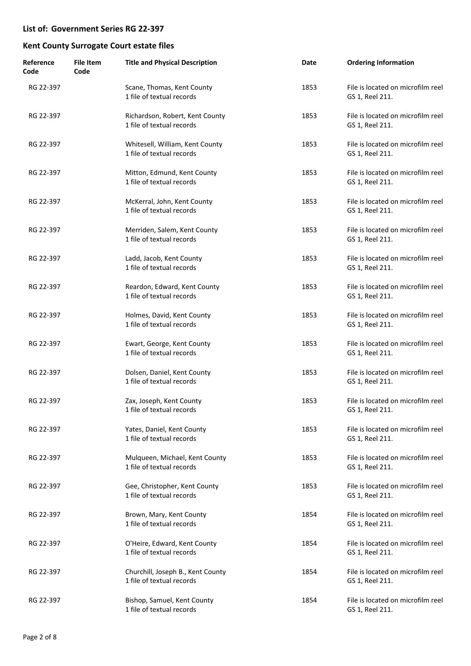| Reference<br>Code | <b>File Item</b><br>Code | <b>Title and Physical Description</b>                          | Date | <b>Ordering Information</b>                          |
|-------------------|--------------------------|----------------------------------------------------------------|------|------------------------------------------------------|
| RG 22-397         |                          | Scane, Thomas, Kent County<br>1 file of textual records        | 1853 | File is located on microfilm reel<br>GS 1, Reel 211. |
| RG 22-397         |                          | Richardson, Robert, Kent County<br>1 file of textual records   | 1853 | File is located on microfilm reel<br>GS 1, Reel 211. |
| RG 22-397         |                          | Whitesell, William, Kent County<br>1 file of textual records   | 1853 | File is located on microfilm reel<br>GS 1, Reel 211. |
| RG 22-397         |                          | Mitton, Edmund, Kent County<br>1 file of textual records       | 1853 | File is located on microfilm reel<br>GS 1, Reel 211. |
| RG 22-397         |                          | McKerral, John, Kent County<br>1 file of textual records       | 1853 | File is located on microfilm reel<br>GS 1, Reel 211. |
| RG 22-397         |                          | Merriden, Salem, Kent County<br>1 file of textual records      | 1853 | File is located on microfilm reel<br>GS 1, Reel 211. |
| RG 22-397         |                          | Ladd, Jacob, Kent County<br>1 file of textual records          | 1853 | File is located on microfilm reel<br>GS 1, Reel 211. |
| RG 22-397         |                          | Reardon, Edward, Kent County<br>1 file of textual records      | 1853 | File is located on microfilm reel<br>GS 1, Reel 211. |
| RG 22-397         |                          | Holmes, David, Kent County<br>1 file of textual records        | 1853 | File is located on microfilm reel<br>GS 1, Reel 211. |
| RG 22-397         |                          | Ewart, George, Kent County<br>1 file of textual records        | 1853 | File is located on microfilm reel<br>GS 1, Reel 211. |
| RG 22-397         |                          | Dolsen, Daniel, Kent County<br>1 file of textual records       | 1853 | File is located on microfilm reel<br>GS 1, Reel 211. |
| RG 22-397         |                          | Zax, Joseph, Kent County<br>1 file of textual records          | 1853 | File is located on microfilm reel<br>GS 1, Reel 211. |
| RG 22-397         |                          | Yates, Daniel, Kent County<br>1 file of textual records        | 1853 | File is located on microfilm reel<br>GS 1, Reel 211. |
| RG 22-397         |                          | Mulqueen, Michael, Kent County<br>1 file of textual records    | 1853 | File is located on microfilm reel<br>GS 1, Reel 211. |
| RG 22-397         |                          | Gee, Christopher, Kent County<br>1 file of textual records     | 1853 | File is located on microfilm reel<br>GS 1, Reel 211. |
| RG 22-397         |                          | Brown, Mary, Kent County<br>1 file of textual records          | 1854 | File is located on microfilm reel<br>GS 1, Reel 211. |
| RG 22-397         |                          | O'Heire, Edward, Kent County<br>1 file of textual records      | 1854 | File is located on microfilm reel<br>GS 1, Reel 211. |
| RG 22-397         |                          | Churchill, Joseph B., Kent County<br>1 file of textual records | 1854 | File is located on microfilm reel<br>GS 1, Reel 211. |
| RG 22-397         |                          | Bishop, Samuel, Kent County<br>1 file of textual records       | 1854 | File is located on microfilm reel<br>GS 1, Reel 211. |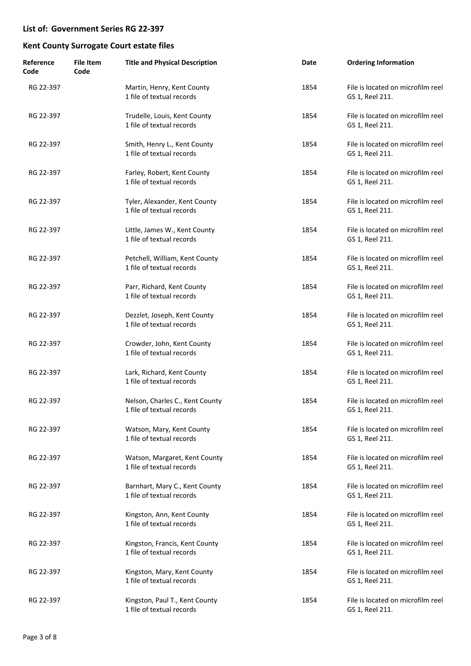| Reference<br>Code | <b>File Item</b><br>Code | <b>Title and Physical Description</b>                        | Date | <b>Ordering Information</b>                          |
|-------------------|--------------------------|--------------------------------------------------------------|------|------------------------------------------------------|
| RG 22-397         |                          | Martin, Henry, Kent County<br>1 file of textual records      | 1854 | File is located on microfilm reel<br>GS 1, Reel 211. |
| RG 22-397         |                          | Trudelle, Louis, Kent County<br>1 file of textual records    | 1854 | File is located on microfilm reel<br>GS 1, Reel 211. |
| RG 22-397         |                          | Smith, Henry L., Kent County<br>1 file of textual records    | 1854 | File is located on microfilm reel<br>GS 1, Reel 211. |
| RG 22-397         |                          | Farley, Robert, Kent County<br>1 file of textual records     | 1854 | File is located on microfilm reel<br>GS 1, Reel 211. |
| RG 22-397         |                          | Tyler, Alexander, Kent County<br>1 file of textual records   | 1854 | File is located on microfilm reel<br>GS 1, Reel 211. |
| RG 22-397         |                          | Little, James W., Kent County<br>1 file of textual records   | 1854 | File is located on microfilm reel<br>GS 1, Reel 211. |
| RG 22-397         |                          | Petchell, William, Kent County<br>1 file of textual records  | 1854 | File is located on microfilm reel<br>GS 1, Reel 211. |
| RG 22-397         |                          | Parr, Richard, Kent County<br>1 file of textual records      | 1854 | File is located on microfilm reel<br>GS 1, Reel 211. |
| RG 22-397         |                          | Dezzlet, Joseph, Kent County<br>1 file of textual records    | 1854 | File is located on microfilm reel<br>GS 1, Reel 211. |
| RG 22-397         |                          | Crowder, John, Kent County<br>1 file of textual records      | 1854 | File is located on microfilm reel<br>GS 1, Reel 211. |
| RG 22-397         |                          | Lark, Richard, Kent County<br>1 file of textual records      | 1854 | File is located on microfilm reel<br>GS 1, Reel 211. |
| RG 22-397         |                          | Nelson, Charles C., Kent County<br>1 file of textual records | 1854 | File is located on microfilm reel<br>GS 1, Reel 211. |
| RG 22-397         |                          | Watson, Mary, Kent County<br>1 file of textual records       | 1854 | File is located on microfilm reel<br>GS 1, Reel 211. |
| RG 22-397         |                          | Watson, Margaret, Kent County<br>1 file of textual records   | 1854 | File is located on microfilm reel<br>GS 1, Reel 211. |
| RG 22-397         |                          | Barnhart, Mary C., Kent County<br>1 file of textual records  | 1854 | File is located on microfilm reel<br>GS 1, Reel 211. |
| RG 22-397         |                          | Kingston, Ann, Kent County<br>1 file of textual records      | 1854 | File is located on microfilm reel<br>GS 1, Reel 211. |
| RG 22-397         |                          | Kingston, Francis, Kent County<br>1 file of textual records  | 1854 | File is located on microfilm reel<br>GS 1, Reel 211. |
| RG 22-397         |                          | Kingston, Mary, Kent County<br>1 file of textual records     | 1854 | File is located on microfilm reel<br>GS 1, Reel 211. |
| RG 22-397         |                          | Kingston, Paul T., Kent County<br>1 file of textual records  | 1854 | File is located on microfilm reel<br>GS 1, Reel 211. |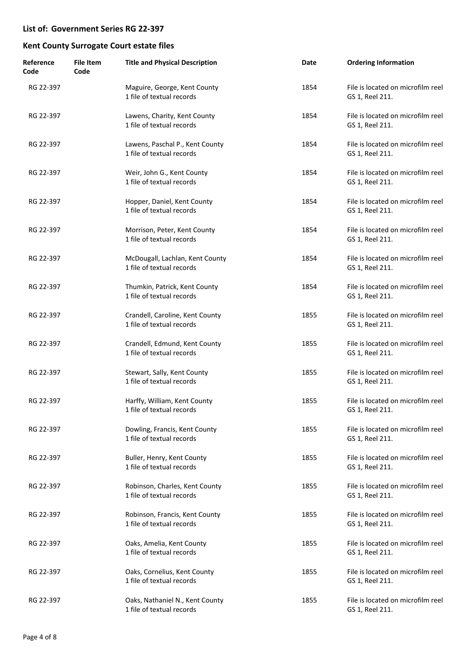| Reference<br>Code | <b>File Item</b><br>Code | <b>Title and Physical Description</b>                        | Date | <b>Ordering Information</b>                          |
|-------------------|--------------------------|--------------------------------------------------------------|------|------------------------------------------------------|
| RG 22-397         |                          | Maguire, George, Kent County<br>1 file of textual records    | 1854 | File is located on microfilm reel<br>GS 1, Reel 211. |
| RG 22-397         |                          | Lawens, Charity, Kent County<br>1 file of textual records    | 1854 | File is located on microfilm reel<br>GS 1, Reel 211. |
| RG 22-397         |                          | Lawens, Paschal P., Kent County<br>1 file of textual records | 1854 | File is located on microfilm reel<br>GS 1, Reel 211. |
| RG 22-397         |                          | Weir, John G., Kent County<br>1 file of textual records      | 1854 | File is located on microfilm reel<br>GS 1, Reel 211. |
| RG 22-397         |                          | Hopper, Daniel, Kent County<br>1 file of textual records     | 1854 | File is located on microfilm reel<br>GS 1, Reel 211. |
| RG 22-397         |                          | Morrison, Peter, Kent County<br>1 file of textual records    | 1854 | File is located on microfilm reel<br>GS 1, Reel 211. |
| RG 22-397         |                          | McDougall, Lachlan, Kent County<br>1 file of textual records | 1854 | File is located on microfilm reel<br>GS 1, Reel 211. |
| RG 22-397         |                          | Thumkin, Patrick, Kent County<br>1 file of textual records   | 1854 | File is located on microfilm reel<br>GS 1, Reel 211. |
| RG 22-397         |                          | Crandell, Caroline, Kent County<br>1 file of textual records | 1855 | File is located on microfilm reel<br>GS 1, Reel 211. |
| RG 22-397         |                          | Crandell, Edmund, Kent County<br>1 file of textual records   | 1855 | File is located on microfilm reel<br>GS 1, Reel 211. |
| RG 22-397         |                          | Stewart, Sally, Kent County<br>1 file of textual records     | 1855 | File is located on microfilm reel<br>GS 1, Reel 211. |
| RG 22-397         |                          | Harffy, William, Kent County<br>1 file of textual records    | 1855 | File is located on microfilm reel<br>GS 1, Reel 211. |
| RG 22-397         |                          | Dowling, Francis, Kent County<br>1 file of textual records   | 1855 | File is located on microfilm reel<br>GS 1, Reel 211. |
| RG 22-397         |                          | Buller, Henry, Kent County<br>1 file of textual records      | 1855 | File is located on microfilm reel<br>GS 1, Reel 211. |
| RG 22-397         |                          | Robinson, Charles, Kent County<br>1 file of textual records  | 1855 | File is located on microfilm reel<br>GS 1, Reel 211. |
| RG 22-397         |                          | Robinson, Francis, Kent County<br>1 file of textual records  | 1855 | File is located on microfilm reel<br>GS 1, Reel 211. |
| RG 22-397         |                          | Oaks, Amelia, Kent County<br>1 file of textual records       | 1855 | File is located on microfilm reel<br>GS 1, Reel 211. |
| RG 22-397         |                          | Oaks, Cornelius, Kent County<br>1 file of textual records    | 1855 | File is located on microfilm reel<br>GS 1, Reel 211. |
| RG 22-397         |                          | Oaks, Nathaniel N., Kent County<br>1 file of textual records | 1855 | File is located on microfilm reel<br>GS 1, Reel 211. |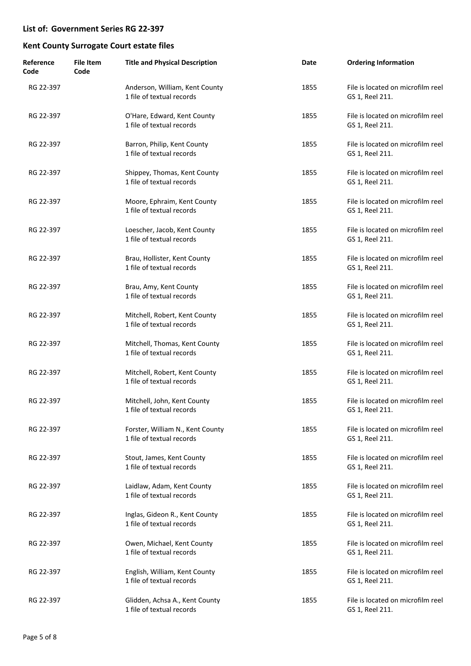| Reference<br>Code | <b>File Item</b><br>Code | <b>Title and Physical Description</b>                         | Date | <b>Ordering Information</b>                          |
|-------------------|--------------------------|---------------------------------------------------------------|------|------------------------------------------------------|
| RG 22-397         |                          | Anderson, William, Kent County<br>1 file of textual records   | 1855 | File is located on microfilm reel<br>GS 1, Reel 211. |
| RG 22-397         |                          | O'Hare, Edward, Kent County<br>1 file of textual records      | 1855 | File is located on microfilm reel<br>GS 1, Reel 211. |
| RG 22-397         |                          | Barron, Philip, Kent County<br>1 file of textual records      | 1855 | File is located on microfilm reel<br>GS 1, Reel 211. |
| RG 22-397         |                          | Shippey, Thomas, Kent County<br>1 file of textual records     | 1855 | File is located on microfilm reel<br>GS 1, Reel 211. |
| RG 22-397         |                          | Moore, Ephraim, Kent County<br>1 file of textual records      | 1855 | File is located on microfilm reel<br>GS 1, Reel 211. |
| RG 22-397         |                          | Loescher, Jacob, Kent County<br>1 file of textual records     | 1855 | File is located on microfilm reel<br>GS 1, Reel 211. |
| RG 22-397         |                          | Brau, Hollister, Kent County<br>1 file of textual records     | 1855 | File is located on microfilm reel<br>GS 1, Reel 211. |
| RG 22-397         |                          | Brau, Amy, Kent County<br>1 file of textual records           | 1855 | File is located on microfilm reel<br>GS 1, Reel 211. |
| RG 22-397         |                          | Mitchell, Robert, Kent County<br>1 file of textual records    | 1855 | File is located on microfilm reel<br>GS 1, Reel 211. |
| RG 22-397         |                          | Mitchell, Thomas, Kent County<br>1 file of textual records    | 1855 | File is located on microfilm reel<br>GS 1, Reel 211. |
| RG 22-397         |                          | Mitchell, Robert, Kent County<br>1 file of textual records    | 1855 | File is located on microfilm reel<br>GS 1, Reel 211. |
| RG 22-397         |                          | Mitchell, John, Kent County<br>1 file of textual records      | 1855 | File is located on microfilm reel<br>GS 1. Reel 211. |
| RG 22-397         |                          | Forster, William N., Kent County<br>1 file of textual records | 1855 | File is located on microfilm reel<br>GS 1, Reel 211. |
| RG 22-397         |                          | Stout, James, Kent County<br>1 file of textual records        | 1855 | File is located on microfilm reel<br>GS 1, Reel 211. |
| RG 22-397         |                          | Laidlaw, Adam, Kent County<br>1 file of textual records       | 1855 | File is located on microfilm reel<br>GS 1, Reel 211. |
| RG 22-397         |                          | Inglas, Gideon R., Kent County<br>1 file of textual records   | 1855 | File is located on microfilm reel<br>GS 1, Reel 211. |
| RG 22-397         |                          | Owen, Michael, Kent County<br>1 file of textual records       | 1855 | File is located on microfilm reel<br>GS 1, Reel 211. |
| RG 22-397         |                          | English, William, Kent County<br>1 file of textual records    | 1855 | File is located on microfilm reel<br>GS 1, Reel 211. |
| RG 22-397         |                          | Glidden, Achsa A., Kent County<br>1 file of textual records   | 1855 | File is located on microfilm reel<br>GS 1, Reel 211. |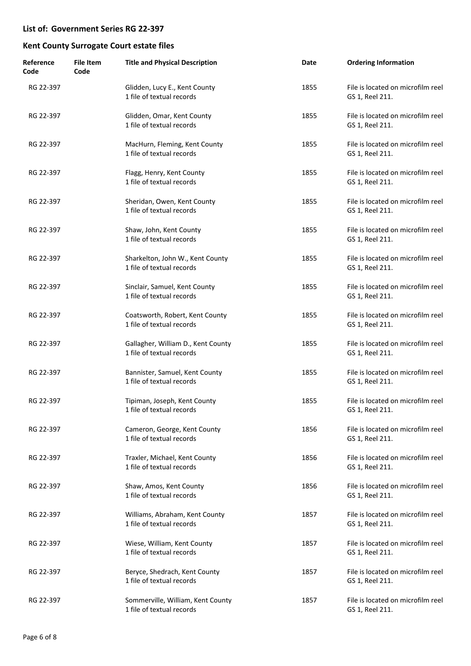| Reference<br>Code | <b>File Item</b><br>Code | <b>Title and Physical Description</b>                           | Date | <b>Ordering Information</b>                          |
|-------------------|--------------------------|-----------------------------------------------------------------|------|------------------------------------------------------|
| RG 22-397         |                          | Glidden, Lucy E., Kent County<br>1 file of textual records      | 1855 | File is located on microfilm reel<br>GS 1, Reel 211. |
| RG 22-397         |                          | Glidden, Omar, Kent County<br>1 file of textual records         | 1855 | File is located on microfilm reel<br>GS 1, Reel 211. |
| RG 22-397         |                          | MacHurn, Fleming, Kent County<br>1 file of textual records      | 1855 | File is located on microfilm reel<br>GS 1, Reel 211. |
| RG 22-397         |                          | Flagg, Henry, Kent County<br>1 file of textual records          | 1855 | File is located on microfilm reel<br>GS 1, Reel 211. |
| RG 22-397         |                          | Sheridan, Owen, Kent County<br>1 file of textual records        | 1855 | File is located on microfilm reel<br>GS 1, Reel 211. |
| RG 22-397         |                          | Shaw, John, Kent County<br>1 file of textual records            | 1855 | File is located on microfilm reel<br>GS 1, Reel 211. |
| RG 22-397         |                          | Sharkelton, John W., Kent County<br>1 file of textual records   | 1855 | File is located on microfilm reel<br>GS 1, Reel 211. |
| RG 22-397         |                          | Sinclair, Samuel, Kent County<br>1 file of textual records      | 1855 | File is located on microfilm reel<br>GS 1, Reel 211. |
| RG 22-397         |                          | Coatsworth, Robert, Kent County<br>1 file of textual records    | 1855 | File is located on microfilm reel<br>GS 1, Reel 211. |
| RG 22-397         |                          | Gallagher, William D., Kent County<br>1 file of textual records | 1855 | File is located on microfilm reel<br>GS 1, Reel 211. |
| RG 22-397         |                          | Bannister, Samuel, Kent County<br>1 file of textual records     | 1855 | File is located on microfilm reel<br>GS 1, Reel 211. |
| RG 22-397         |                          | Tipiman, Joseph, Kent County<br>1 file of textual records       | 1855 | File is located on microfilm reel<br>GS 1, Reel 211. |
| RG 22-397         |                          | Cameron, George, Kent County<br>1 file of textual records       | 1856 | File is located on microfilm reel<br>GS 1, Reel 211. |
| RG 22-397         |                          | Traxler, Michael, Kent County<br>1 file of textual records      | 1856 | File is located on microfilm reel<br>GS 1, Reel 211. |
| RG 22-397         |                          | Shaw, Amos, Kent County<br>1 file of textual records            | 1856 | File is located on microfilm reel<br>GS 1, Reel 211. |
| RG 22-397         |                          | Williams, Abraham, Kent County<br>1 file of textual records     | 1857 | File is located on microfilm reel<br>GS 1, Reel 211. |
| RG 22-397         |                          | Wiese, William, Kent County<br>1 file of textual records        | 1857 | File is located on microfilm reel<br>GS 1, Reel 211. |
| RG 22-397         |                          | Beryce, Shedrach, Kent County<br>1 file of textual records      | 1857 | File is located on microfilm reel<br>GS 1, Reel 211. |
| RG 22-397         |                          | Sommerville, William, Kent County<br>1 file of textual records  | 1857 | File is located on microfilm reel<br>GS 1, Reel 211. |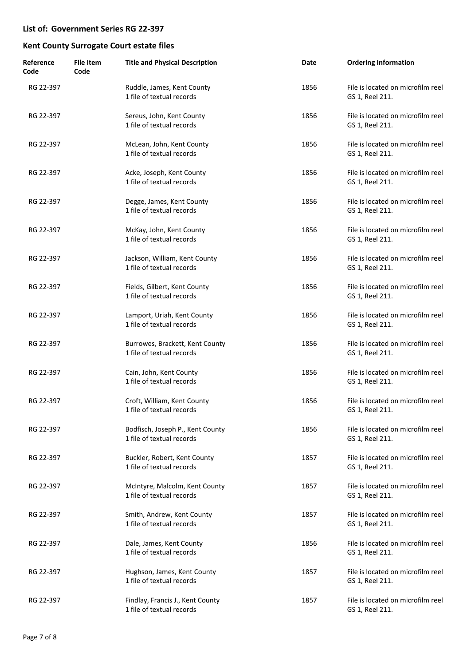| Reference<br>Code | <b>File Item</b><br>Code | <b>Title and Physical Description</b>                         | Date | <b>Ordering Information</b>                          |
|-------------------|--------------------------|---------------------------------------------------------------|------|------------------------------------------------------|
| RG 22-397         |                          | Ruddle, James, Kent County<br>1 file of textual records       | 1856 | File is located on microfilm reel<br>GS 1, Reel 211. |
| RG 22-397         |                          | Sereus, John, Kent County<br>1 file of textual records        | 1856 | File is located on microfilm reel<br>GS 1, Reel 211. |
| RG 22-397         |                          | McLean, John, Kent County<br>1 file of textual records        | 1856 | File is located on microfilm reel<br>GS 1, Reel 211. |
| RG 22-397         |                          | Acke, Joseph, Kent County<br>1 file of textual records        | 1856 | File is located on microfilm reel<br>GS 1, Reel 211. |
| RG 22-397         |                          | Degge, James, Kent County<br>1 file of textual records        | 1856 | File is located on microfilm reel<br>GS 1, Reel 211. |
| RG 22-397         |                          | McKay, John, Kent County<br>1 file of textual records         | 1856 | File is located on microfilm reel<br>GS 1, Reel 211. |
| RG 22-397         |                          | Jackson, William, Kent County<br>1 file of textual records    | 1856 | File is located on microfilm reel<br>GS 1, Reel 211. |
| RG 22-397         |                          | Fields, Gilbert, Kent County<br>1 file of textual records     | 1856 | File is located on microfilm reel<br>GS 1, Reel 211. |
| RG 22-397         |                          | Lamport, Uriah, Kent County<br>1 file of textual records      | 1856 | File is located on microfilm reel<br>GS 1, Reel 211. |
| RG 22-397         |                          | Burrowes, Brackett, Kent County<br>1 file of textual records  | 1856 | File is located on microfilm reel<br>GS 1, Reel 211. |
| RG 22-397         |                          | Cain, John, Kent County<br>1 file of textual records          | 1856 | File is located on microfilm reel<br>GS 1, Reel 211. |
| RG 22-397         |                          | Croft, William, Kent County<br>1 file of textual records      | 1856 | File is located on microfilm reel<br>GS 1, Reel 211. |
| RG 22-397         |                          | Bodfisch, Joseph P., Kent County<br>1 file of textual records | 1856 | File is located on microfilm reel<br>GS 1, Reel 211. |
| RG 22-397         |                          | Buckler, Robert, Kent County<br>1 file of textual records     | 1857 | File is located on microfilm reel<br>GS 1, Reel 211. |
| RG 22-397         |                          | McIntyre, Malcolm, Kent County<br>1 file of textual records   | 1857 | File is located on microfilm reel<br>GS 1, Reel 211. |
| RG 22-397         |                          | Smith, Andrew, Kent County<br>1 file of textual records       | 1857 | File is located on microfilm reel<br>GS 1, Reel 211. |
| RG 22-397         |                          | Dale, James, Kent County<br>1 file of textual records         | 1856 | File is located on microfilm reel<br>GS 1, Reel 211. |
| RG 22-397         |                          | Hughson, James, Kent County<br>1 file of textual records      | 1857 | File is located on microfilm reel<br>GS 1, Reel 211. |
| RG 22-397         |                          | Findlay, Francis J., Kent County<br>1 file of textual records | 1857 | File is located on microfilm reel<br>GS 1, Reel 211. |